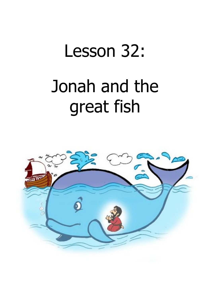## Lesson 32: Jonah and the great fish

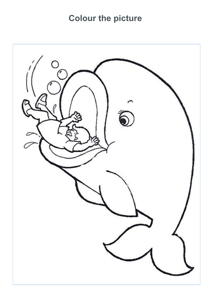## **Colour the picture**

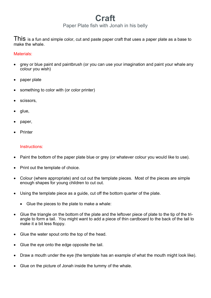## **Craft**

Paper Plate fish with Jonah in his belly

This is a fun and simple color, cut and paste paper craft that uses a paper plate as a base to make the whale.

Materials:

- grey or blue paint and paintbrush (or you can use your imagination and paint your whale any colour you wish)
- paper plate
- something to color with (or color printer)
- scissors,
- glue,
- paper,
- **Printer**

## Instructions:

- Paint the bottom of the paper plate blue or grey (or whatever colour you would like to use).
- Print out the template of choice.
- Colour (where appropriate) and cut out the template pieces. Most of the pieces are simple enough shapes for young children to cut out.
- Using the template piece as a guide, cut off the bottom quarter of the plate.
	- Glue the pieces to the plate to make a whale:
- Glue the triangle on the bottom of the plate and the leftover piece of plate to the tip of the triangle to form a tail. You might want to add a piece of thin cardboard to the back of the tail to make it a bit less floppy.
- Glue the water spout onto the top of the head.
- Glue the eye onto the edge opposite the tail.
- Draw a mouth under the eye (the template has an example of what the mouth might look like).
- Glue on the picture of Jonah inside the tummy of the whale.